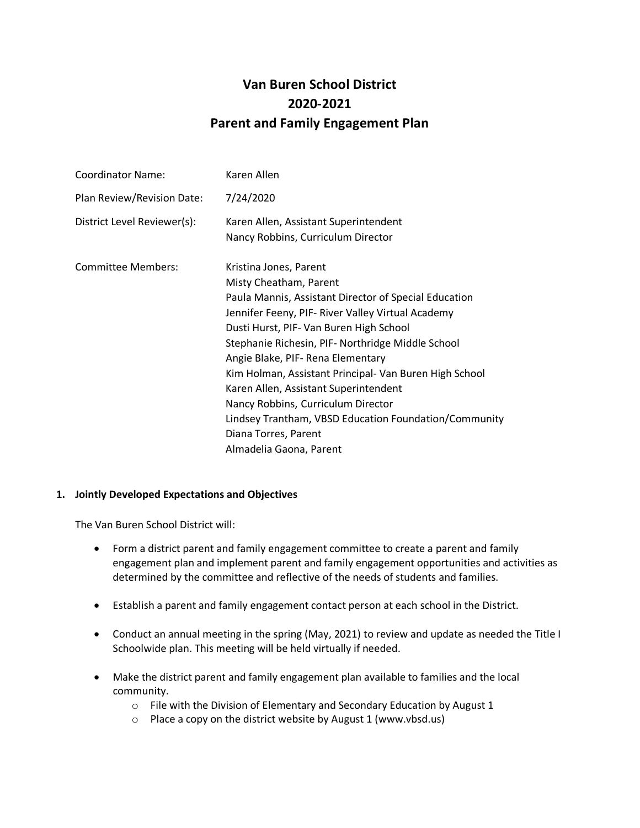# **Van Buren School District 2020-2021 Parent and Family Engagement Plan**

| <b>Coordinator Name:</b>    | Karen Allen                                                                                                                                                                                                                                                                                                                                                                                                                                                                                                                                             |
|-----------------------------|---------------------------------------------------------------------------------------------------------------------------------------------------------------------------------------------------------------------------------------------------------------------------------------------------------------------------------------------------------------------------------------------------------------------------------------------------------------------------------------------------------------------------------------------------------|
| Plan Review/Revision Date:  | 7/24/2020                                                                                                                                                                                                                                                                                                                                                                                                                                                                                                                                               |
| District Level Reviewer(s): | Karen Allen, Assistant Superintendent<br>Nancy Robbins, Curriculum Director                                                                                                                                                                                                                                                                                                                                                                                                                                                                             |
| <b>Committee Members:</b>   | Kristina Jones, Parent<br>Misty Cheatham, Parent<br>Paula Mannis, Assistant Director of Special Education<br>Jennifer Feeny, PIF- River Valley Virtual Academy<br>Dusti Hurst, PIF- Van Buren High School<br>Stephanie Richesin, PIF- Northridge Middle School<br>Angie Blake, PIF-Rena Elementary<br>Kim Holman, Assistant Principal- Van Buren High School<br>Karen Allen, Assistant Superintendent<br>Nancy Robbins, Curriculum Director<br>Lindsey Trantham, VBSD Education Foundation/Community<br>Diana Torres, Parent<br>Almadelia Gaona, Parent |

### **1. Jointly Developed Expectations and Objectives**

- Form a district parent and family engagement committee to create a parent and family engagement plan and implement parent and family engagement opportunities and activities as determined by the committee and reflective of the needs of students and families.
- Establish a parent and family engagement contact person at each school in the District.
- Conduct an annual meeting in the spring (May, 2021) to review and update as needed the Title I Schoolwide plan. This meeting will be held virtually if needed.
- Make the district parent and family engagement plan available to families and the local community.
	- o File with the Division of Elementary and Secondary Education by August 1
	- $\circ$  Place a copy on the district website by August 1 (www.vbsd.us)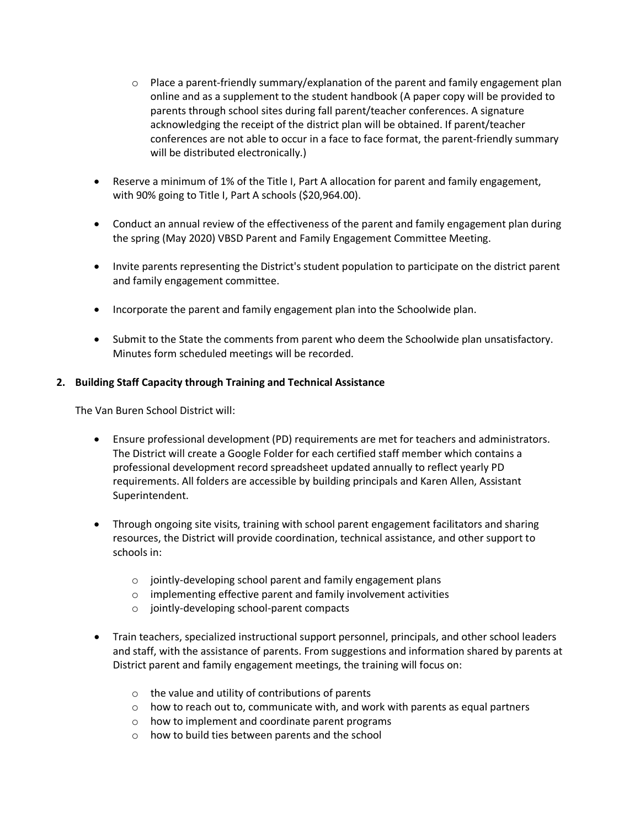- $\circ$  Place a parent-friendly summary/explanation of the parent and family engagement plan online and as a supplement to the student handbook (A paper copy will be provided to parents through school sites during fall parent/teacher conferences. A signature acknowledging the receipt of the district plan will be obtained. If parent/teacher conferences are not able to occur in a face to face format, the parent-friendly summary will be distributed electronically.)
- Reserve a minimum of 1% of the Title I, Part A allocation for parent and family engagement, with 90% going to Title I, Part A schools (\$20,964.00).
- Conduct an annual review of the effectiveness of the parent and family engagement plan during the spring (May 2020) VBSD Parent and Family Engagement Committee Meeting.
- Invite parents representing the District's student population to participate on the district parent and family engagement committee.
- Incorporate the parent and family engagement plan into the Schoolwide plan.
- Submit to the State the comments from parent who deem the Schoolwide plan unsatisfactory. Minutes form scheduled meetings will be recorded.

### **2. Building Staff Capacity through Training and Technical Assistance**

- Ensure professional development (PD) requirements are met for teachers and administrators. The District will create a Google Folder for each certified staff member which contains a professional development record spreadsheet updated annually to reflect yearly PD requirements. All folders are accessible by building principals and Karen Allen, Assistant Superintendent.
- Through ongoing site visits, training with school parent engagement facilitators and sharing resources, the District will provide coordination, technical assistance, and other support to schools in:
	- o jointly-developing school parent and family engagement plans
	- o implementing effective parent and family involvement activities
	- o jointly-developing school-parent compacts
- Train teachers, specialized instructional support personnel, principals, and other school leaders and staff, with the assistance of parents. From suggestions and information shared by parents at District parent and family engagement meetings, the training will focus on:
	- $\circ$  the value and utility of contributions of parents
	- $\circ$  how to reach out to, communicate with, and work with parents as equal partners
	- o how to implement and coordinate parent programs
	- o how to build ties between parents and the school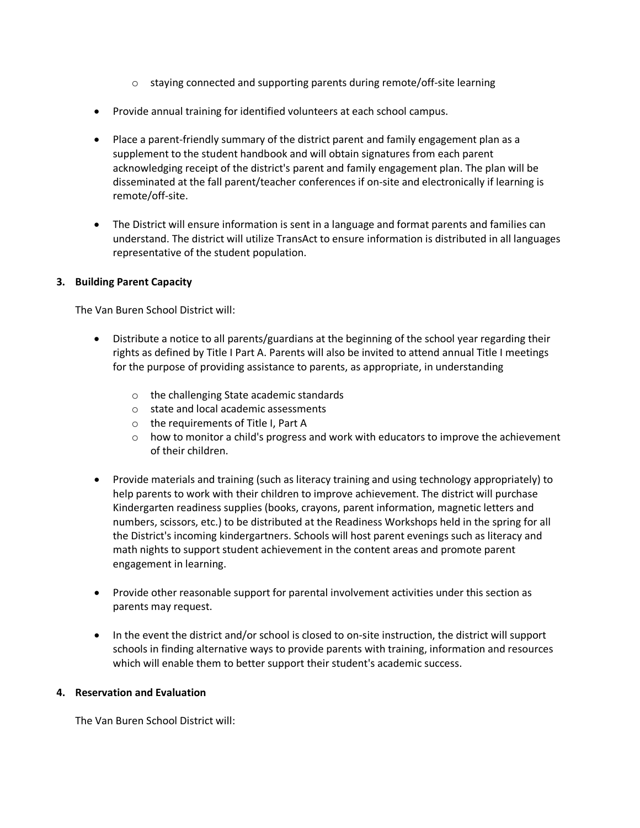- $\circ$  staying connected and supporting parents during remote/off-site learning
- Provide annual training for identified volunteers at each school campus.
- Place a parent-friendly summary of the district parent and family engagement plan as a supplement to the student handbook and will obtain signatures from each parent acknowledging receipt of the district's parent and family engagement plan. The plan will be disseminated at the fall parent/teacher conferences if on-site and electronically if learning is remote/off-site.
- The District will ensure information is sent in a language and format parents and families can understand. The district will utilize TransAct to ensure information is distributed in all languages representative of the student population.

### **3. Building Parent Capacity**

The Van Buren School District will:

- Distribute a notice to all parents/guardians at the beginning of the school year regarding their rights as defined by Title I Part A. Parents will also be invited to attend annual Title I meetings for the purpose of providing assistance to parents, as appropriate, in understanding
	- o the challenging State academic standards
	- o state and local academic assessments
	- o the requirements of Title I, Part A
	- $\circ$  how to monitor a child's progress and work with educators to improve the achievement of their children.
- Provide materials and training (such as literacy training and using technology appropriately) to help parents to work with their children to improve achievement. The district will purchase Kindergarten readiness supplies (books, crayons, parent information, magnetic letters and numbers, scissors, etc.) to be distributed at the Readiness Workshops held in the spring for all the District's incoming kindergartners. Schools will host parent evenings such as literacy and math nights to support student achievement in the content areas and promote parent engagement in learning.
- Provide other reasonable support for parental involvement activities under this section as parents may request.
- In the event the district and/or school is closed to on-site instruction, the district will support schools in finding alternative ways to provide parents with training, information and resources which will enable them to better support their student's academic success.

### **4. Reservation and Evaluation**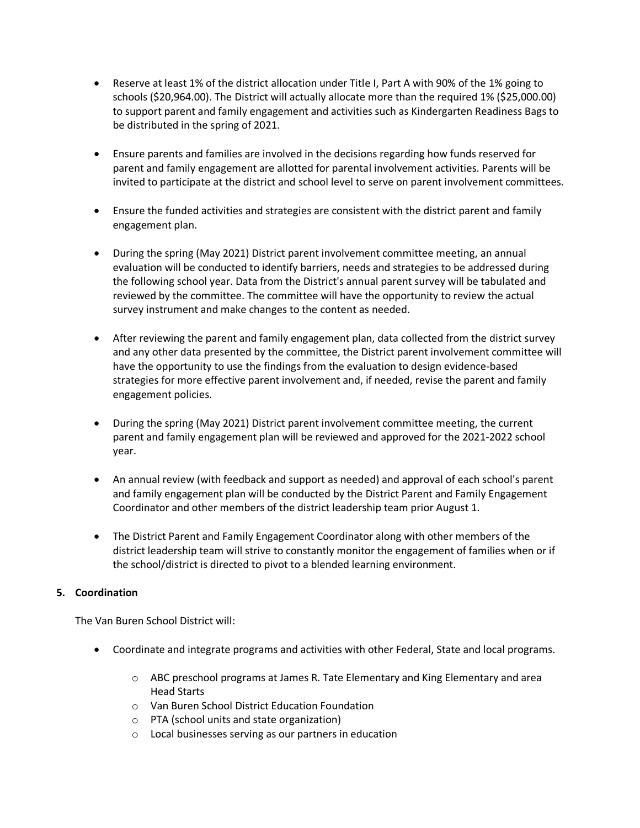- Reserve at least 1% of the district allocation under Title I, Part A with 90% of the 1% going to schools (\$20,964.00). The District will actually allocate more than the required 1% (\$25,000.00) to support parent and family engagement and activities such as Kindergarten Readiness Bags to be distributed in the spring of 2021.
- Ensure parents and families are involved in the decisions regarding how funds reserved for parent and family engagement are allotted for parental involvement activities. Parents will be invited to participate at the district and school level to serve on parent involvement committees.
- Ensure the funded activities and strategies are consistent with the district parent and family engagement plan.
- During the spring (May 2021) District parent involvement committee meeting, an annual evaluation will be conducted to identify barriers, needs and strategies to be addressed during the following school year. Data from the District's annual parent survey will be tabulated and reviewed by the committee. The committee will have the opportunity to review the actual survey instrument and make changes to the content as needed.
- After reviewing the parent and family engagement plan, data collected from the district survey and any other data presented by the committee, the District parent involvement committee will have the opportunity to use the findings from the evaluation to design evidence-based strategies for more effective parent involvement and, if needed, revise the parent and family engagement policies.
- During the spring (May 2021) District parent involvement committee meeting, the current parent and family engagement plan will be reviewed and approved for the 2021-2022 school year.
- An annual review (with feedback and support as needed) and approval of each school's parent and family engagement plan will be conducted by the District Parent and Family Engagement Coordinator and other members of the district leadership team prior August 1.
- The District Parent and Family Engagement Coordinator along with other members of the district leadership team will strive to constantly monitor the engagement of families when or if the school/district is directed to pivot to a blended learning environment.

## **5. Coordination**

- Coordinate and integrate programs and activities with other Federal, State and local programs.
	- o ABC preschool programs at James R. Tate Elementary and King Elementary and area Head Starts
	- o Van Buren School District Education Foundation
	- o PTA (school units and state organization)
	- o Local businesses serving as our partners in education